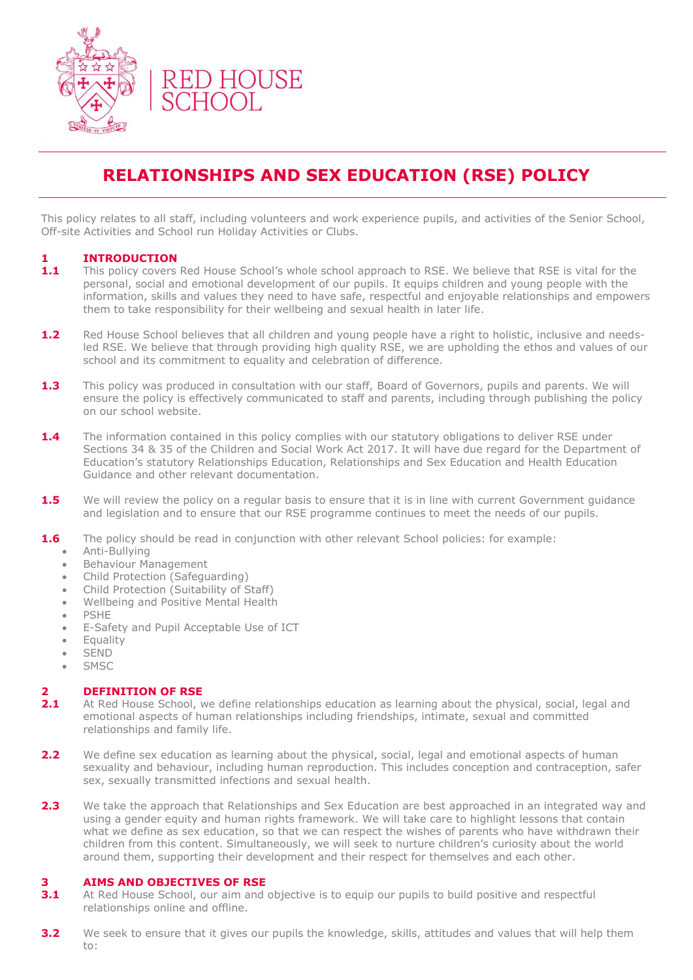

## **RELATIONSHIPS AND SEX EDUCATION (RSE) POLICY**

This policy relates to all staff, including volunteers and work experience pupils, and activities of the Senior School, Off-site Activities and School run Holiday Activities or Clubs.

### **1 INTRODUCTION**

- 1.1 This policy covers Red House School's whole school approach to RSE. We believe that RSE is vital for the personal, social and emotional development of our pupils. It equips children and young people with the information, skills and values they need to have safe, respectful and enjoyable relationships and empowers them to take responsibility for their wellbeing and sexual health in later life.
- 1.2 Red House School believes that all children and young people have a right to holistic, inclusive and needsled RSE. We believe that through providing high quality RSE, we are upholding the ethos and values of our school and its commitment to equality and celebration of difference.
- **1.3** This policy was produced in consultation with our staff, Board of Governors, pupils and parents. We will ensure the policy is effectively communicated to staff and parents, including through publishing the policy on our school website.
- **1.4** The information contained in this policy complies with our statutory obligations to deliver RSE under Sections 34 & 35 of the Children and Social Work Act 2017. It will have due regard for the Department of Education's statutory Relationships Education, Relationships and Sex Education and Health Education Guidance and other relevant documentation.
- **1.5** We will review the policy on a regular basis to ensure that it is in line with current Government guidance and legislation and to ensure that our RSE programme continues to meet the needs of our pupils.
- **1.6** The policy should be read in conjunction with other relevant School policies: for example:
	- Anti-Bullying
	- Behaviour Management
	- Child Protection (Safeguarding)
	- Child Protection (Suitability of Staff)
	- Wellbeing and Positive Mental Health
	- PSHE
	- E-Safety and Pupil Acceptable Use of ICT
	- **•** Equality
	- SEND
	- SMSC

## **2 <b>DEFINITION OF RSE**<br>**2.1** At Red House School, M

- **2.1** At Red House School, we define relationships education as learning about the physical, social, legal and emotional aspects of human relationships including friendships, intimate, sexual and committed relationships and family life.
- **2.2** We define sex education as learning about the physical, social, legal and emotional aspects of human sexuality and behaviour, including human reproduction. This includes conception and contraception, safer sex, sexually transmitted infections and sexual health.
- 2.3 We take the approach that Relationships and Sex Education are best approached in an integrated way and using a gender equity and human rights framework. We will take care to highlight lessons that contain what we define as sex education, so that we can respect the wishes of parents who have withdrawn their children from this content. Simultaneously, we will seek to nurture children's curiosity about the world around them, supporting their development and their respect for themselves and each other.

#### **3 AIMS AND OBJECTIVES OF RSE**

- **3.1** At Red House School, our aim and objective is to equip our pupils to build positive and respectful relationships online and offline.
- **3.2** We seek to ensure that it gives our pupils the knowledge, skills, attitudes and values that will help them to: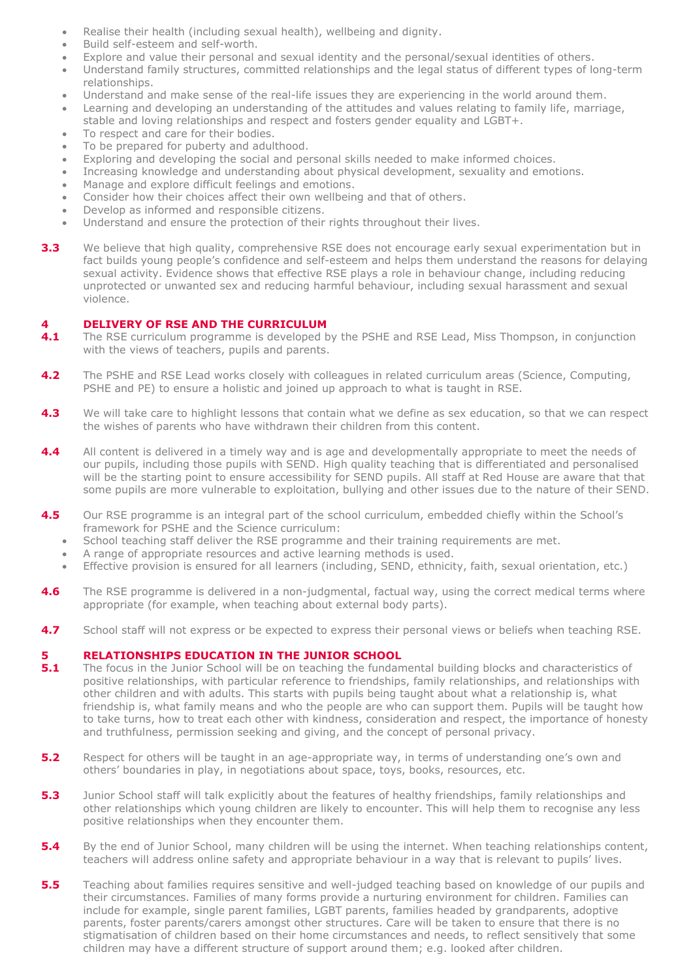- Realise their health (including sexual health), wellbeing and dignity.
- Build self-esteem and self-worth.
- Explore and value their personal and sexual identity and the personal/sexual identities of others.
- Understand family structures, committed relationships and the legal status of different types of long-term relationships.
- Understand and make sense of the real-life issues they are experiencing in the world around them.
- Learning and developing an understanding of the attitudes and values relating to family life, marriage, stable and loving relationships and respect and fosters gender equality and LGBT+.
- To respect and care for their bodies.
- To be prepared for puberty and adulthood.
- Exploring and developing the social and personal skills needed to make informed choices.
- Increasing knowledge and understanding about physical development, sexuality and emotions.
- Manage and explore difficult feelings and emotions.
- Consider how their choices affect their own wellbeing and that of others.
- Develop as informed and responsible citizens.
- Understand and ensure the protection of their rights throughout their lives.
- **3.3** We believe that high quality, comprehensive RSE does not encourage early sexual experimentation but in fact builds young people's confidence and self-esteem and helps them understand the reasons for delaying sexual activity. Evidence shows that effective RSE plays a role in behaviour change, including reducing unprotected or unwanted sex and reducing harmful behaviour, including sexual harassment and sexual violence.

### **4 DELIVERY OF RSE AND THE CURRICULUM**

- **4.1** The RSE curriculum programme is developed by the PSHE and RSE Lead, Miss Thompson, in conjunction with the views of teachers, pupils and parents.
- **4.2** The PSHE and RSE Lead works closely with colleagues in related curriculum areas (Science, Computing, PSHE and PE) to ensure a holistic and joined up approach to what is taught in RSE.
- **4.3** We will take care to highlight lessons that contain what we define as sex education, so that we can respect the wishes of parents who have withdrawn their children from this content.
- **4.4** All content is delivered in a timely way and is age and developmentally appropriate to meet the needs of our pupils, including those pupils with SEND. High quality teaching that is differentiated and personalised will be the starting point to ensure accessibility for SEND pupils. All staff at Red House are aware that that some pupils are more vulnerable to exploitation, bullying and other issues due to the nature of their SEND.
- **4.5** Our RSE programme is an integral part of the school curriculum, embedded chiefly within the School's framework for PSHE and the Science curriculum:
	- School teaching staff deliver the RSE programme and their training requirements are met.
	- A range of appropriate resources and active learning methods is used.
	- Effective provision is ensured for all learners (including, SEND, ethnicity, faith, sexual orientation, etc.)
- **4.6** The RSE programme is delivered in a non-judgmental, factual way, using the correct medical terms where appropriate (for example, when teaching about external body parts).
- **4.7** School staff will not express or be expected to express their personal views or beliefs when teaching RSE.

# **5 RELATIONSHIPS EDUCATION IN THE JUNIOR SCHOOL 5.1** The focus in the Junior School will be on teaching the fundan

- **5.1** The focus in the Junior School will be on teaching the fundamental building blocks and characteristics of positive relationships, with particular reference to friendships, family relationships, and relationships with other children and with adults. This starts with pupils being taught about what a relationship is, what friendship is, what family means and who the people are who can support them. Pupils will be taught how to take turns, how to treat each other with kindness, consideration and respect, the importance of honesty and truthfulness, permission seeking and giving, and the concept of personal privacy.
- **5.2** Respect for others will be taught in an age-appropriate way, in terms of understanding one's own and others' boundaries in play, in negotiations about space, toys, books, resources, etc.
- **5.3** Junior School staff will talk explicitly about the features of healthy friendships, family relationships and other relationships which young children are likely to encounter. This will help them to recognise any less positive relationships when they encounter them.
- **5.4** By the end of Junior School, many children will be using the internet. When teaching relationships content, teachers will address online safety and appropriate behaviour in a way that is relevant to pupils' lives.
- **5.5** Teaching about families requires sensitive and well-judged teaching based on knowledge of our pupils and their circumstances. Families of many forms provide a nurturing environment for children. Families can include for example, single parent families, LGBT parents, families headed by grandparents, adoptive parents, foster parents/carers amongst other structures. Care will be taken to ensure that there is no stigmatisation of children based on their home circumstances and needs, to reflect sensitively that some children may have a different structure of support around them; e.g. looked after children.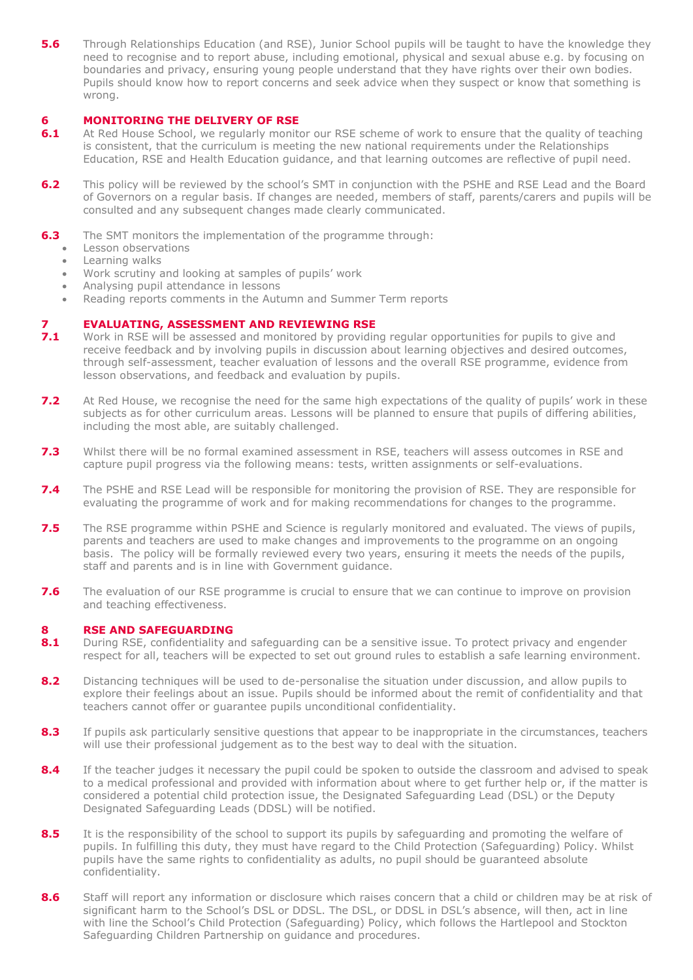**5.6** Through Relationships Education (and RSE), Junior School pupils will be taught to have the knowledge they need to recognise and to report abuse, including emotional, physical and sexual abuse e.g. by focusing on boundaries and privacy, ensuring young people understand that they have rights over their own bodies. Pupils should know how to report concerns and seek advice when they suspect or know that something is wrong.

## **6 MONITORING THE DELIVERY OF RSE**<br>**6.1** At Red House School, we regularly monite

- **6.1** At Red House School, we regularly monitor our RSE scheme of work to ensure that the quality of teaching is consistent, that the curriculum is meeting the new national requirements under the Relationships Education, RSE and Health Education guidance, and that learning outcomes are reflective of pupil need.
- **6.2** This policy will be reviewed by the school's SMT in conjunction with the PSHE and RSE Lead and the Board of Governors on a regular basis. If changes are needed, members of staff, parents/carers and pupils will be consulted and any subsequent changes made clearly communicated.
- **6.3** The SMT monitors the implementation of the programme through:
	- Lesson observations
	- Learning walks
	- Work scrutiny and looking at samples of pupils' work
	- Analysing pupil attendance in lessons
	- Reading reports comments in the Autumn and Summer Term reports

# **7 <b>EVALUATING, ASSESSMENT AND REVIEWING RSE**<br>**7.1** Work in RSE will be assessed and monitored by providir

- **7.1** Work in RSE will be assessed and monitored by providing regular opportunities for pupils to give and receive feedback and by involving pupils in discussion about learning objectives and desired outcomes, through self-assessment, teacher evaluation of lessons and the overall RSE programme, evidence from lesson observations, and feedback and evaluation by pupils.
- **7.2** At Red House, we recognise the need for the same high expectations of the quality of pupils' work in these subjects as for other curriculum areas. Lessons will be planned to ensure that pupils of differing abilities, including the most able, are suitably challenged.
- **7.3** Whilst there will be no formal examined assessment in RSE, teachers will assess outcomes in RSE and capture pupil progress via the following means: tests, written assignments or self-evaluations.
- **7.4** The PSHE and RSE Lead will be responsible for monitoring the provision of RSE. They are responsible for evaluating the programme of work and for making recommendations for changes to the programme.
- **7.5** The RSE programme within PSHE and Science is regularly monitored and evaluated. The views of pupils, parents and teachers are used to make changes and improvements to the programme on an ongoing basis. The policy will be formally reviewed every two years, ensuring it meets the needs of the pupils, staff and parents and is in line with Government guidance.
- **7.6** The evaluation of our RSE programme is crucial to ensure that we can continue to improve on provision and teaching effectiveness.

## **8 RSE AND SAFEGUARDING**

- 8.1 During RSE, confidentiality and safeguarding can be a sensitive issue. To protect privacy and engender respect for all, teachers will be expected to set out ground rules to establish a safe learning environment.
- **8.2** Distancing techniques will be used to de-personalise the situation under discussion, and allow pupils to explore their feelings about an issue. Pupils should be informed about the remit of confidentiality and that teachers cannot offer or guarantee pupils unconditional confidentiality.
- 8.3 If pupils ask particularly sensitive questions that appear to be inappropriate in the circumstances, teachers will use their professional judgement as to the best way to deal with the situation.
- 8.4 If the teacher judges it necessary the pupil could be spoken to outside the classroom and advised to speak to a medical professional and provided with information about where to get further help or, if the matter is considered a potential child protection issue, the Designated Safeguarding Lead (DSL) or the Deputy Designated Safeguarding Leads (DDSL) will be notified.
- 8.5 It is the responsibility of the school to support its pupils by safeguarding and promoting the welfare of pupils. In fulfilling this duty, they must have regard to the Child Protection (Safeguarding) Policy. Whilst pupils have the same rights to confidentiality as adults, no pupil should be guaranteed absolute confidentiality.
- 8.6 Staff will report any information or disclosure which raises concern that a child or children may be at risk of significant harm to the School's DSL or DDSL. The DSL, or DDSL in DSL's absence, will then, act in line with line the School's Child Protection (Safeguarding) Policy, which follows the Hartlepool and Stockton Safeguarding Children Partnership on guidance and procedures.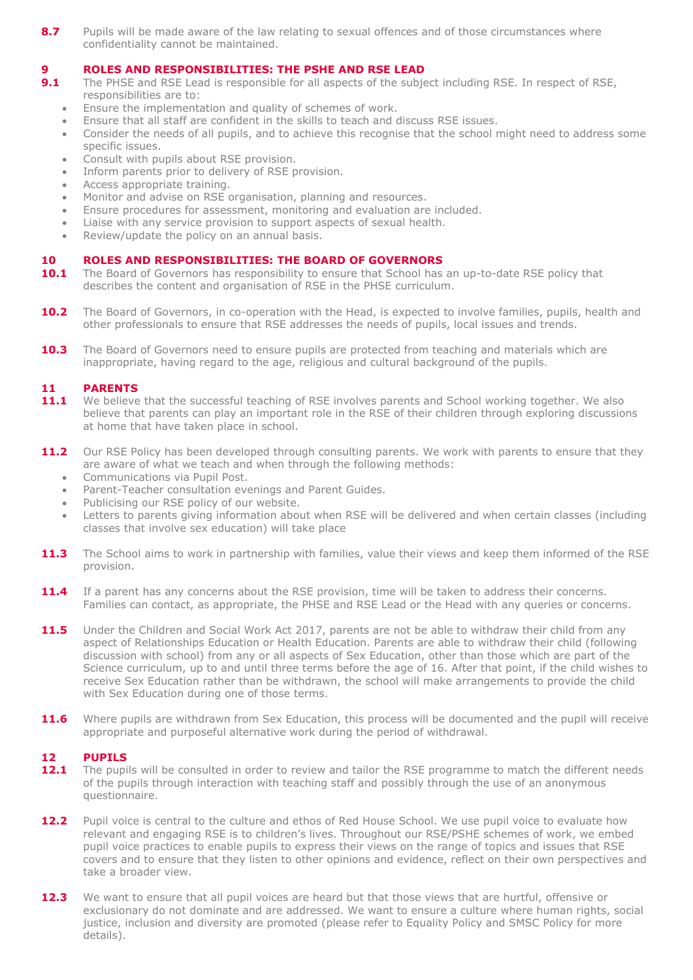**8.7** Pupils will be made aware of the law relating to sexual offences and of those circumstances where confidentiality cannot be maintained.

#### **9 ROLES AND RESPONSIBILITIES: THE PSHE AND RSE LEAD**

- **9.1** The PHSE and RSE Lead is responsible for all aspects of the subject including RSE. In respect of RSE, responsibilities are to:
	- Ensure the implementation and quality of schemes of work.
	- Ensure that all staff are confident in the skills to teach and discuss RSE issues.
	- Consider the needs of all pupils, and to achieve this recognise that the school might need to address some specific issues.
	- Consult with pupils about RSE provision.
	- Inform parents prior to delivery of RSE provision.
	- Access appropriate training.
	- Monitor and advise on RSE organisation, planning and resources.
	- Ensure procedures for assessment, monitoring and evaluation are included.
	- Liaise with any service provision to support aspects of sexual health.
	- Review/update the policy on an annual basis.

### **10 ROLES AND RESPONSIBILITIES: THE BOARD OF GOVERNORS**

- 10.1 The Board of Governors has responsibility to ensure that School has an up-to-date RSE policy that describes the content and organisation of RSE in the PHSE curriculum.
- **10.2** The Board of Governors, in co-operation with the Head, is expected to involve families, pupils, health and other professionals to ensure that RSE addresses the needs of pupils, local issues and trends.
- **10.3** The Board of Governors need to ensure pupils are protected from teaching and materials which are inappropriate, having regard to the age, religious and cultural background of the pupils.

### **11 PARENTS**

- 11.1 We believe that the successful teaching of RSE involves parents and School working together. We also believe that parents can play an important role in the RSE of their children through exploring discussions at home that have taken place in school.
- 11.2 Our RSE Policy has been developed through consulting parents. We work with parents to ensure that they are aware of what we teach and when through the following methods:
	- Communications via Pupil Post.
	- Parent-Teacher consultation evenings and Parent Guides.
	- Publicising our RSE policy of our website.
	- Letters to parents giving information about when RSE will be delivered and when certain classes (including classes that involve sex education) will take place
- **11.3** The School aims to work in partnership with families, value their views and keep them informed of the RSE provision.
- **11.4** If a parent has any concerns about the RSE provision, time will be taken to address their concerns. Families can contact, as appropriate, the PHSE and RSE Lead or the Head with any queries or concerns.
- 11.5 Under the Children and Social Work Act 2017, parents are not be able to withdraw their child from any aspect of Relationships Education or Health Education. Parents are able to withdraw their child (following discussion with school) from any or all aspects of Sex Education, other than those which are part of the Science curriculum, up to and until three terms before the age of 16. After that point, if the child wishes to receive Sex Education rather than be withdrawn, the school will make arrangements to provide the child with Sex Education during one of those terms.
- **11.6** Where pupils are withdrawn from Sex Education, this process will be documented and the pupil will receive appropriate and purposeful alternative work during the period of withdrawal.

## **12 PUPILS**

- **12.1** The pupils will be consulted in order to review and tailor the RSE programme to match the different needs of the pupils through interaction with teaching staff and possibly through the use of an anonymous questionnaire.
- 12.2 Pupil voice is central to the culture and ethos of Red House School. We use pupil voice to evaluate how relevant and engaging RSE is to children's lives. Throughout our RSE/PSHE schemes of work, we embed pupil voice practices to enable pupils to express their views on the range of topics and issues that RSE covers and to ensure that they listen to other opinions and evidence, reflect on their own perspectives and take a broader view.
- 12.3 We want to ensure that all pupil voices are heard but that those views that are hurtful, offensive or exclusionary do not dominate and are addressed. We want to ensure a culture where human rights, social justice, inclusion and diversity are promoted (please refer to Equality Policy and SMSC Policy for more details).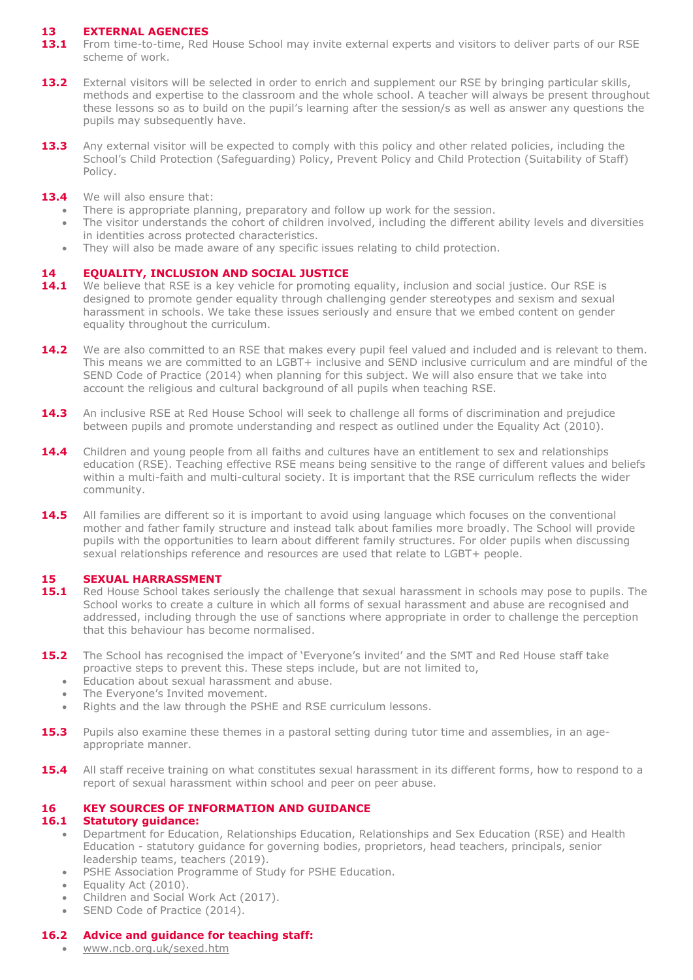## **13 EXTERNAL AGENCIES**

- 13.1 From time-to-time, Red House School may invite external experts and visitors to deliver parts of our RSE scheme of work.
- **13.2** External visitors will be selected in order to enrich and supplement our RSE by bringing particular skills, methods and expertise to the classroom and the whole school. A teacher will always be present throughout these lessons so as to build on the pupil's learning after the session/s as well as answer any questions the pupils may subsequently have.
- 13.3 Any external visitor will be expected to comply with this policy and other related policies, including the School's Child Protection (Safeguarding) Policy, Prevent Policy and Child Protection (Suitability of Staff) Policy.
- 13.4 We will also ensure that:
	- There is appropriate planning, preparatory and follow up work for the session.
	- The visitor understands the cohort of children involved, including the different ability levels and diversities in identities across protected characteristics.
	- They will also be made aware of any specific issues relating to child protection.

### **14 EQUALITY, INCLUSION AND SOCIAL JUSTICE**

- 14.1 We believe that RSE is a key vehicle for promoting equality, inclusion and social justice. Our RSE is designed to promote gender equality through challenging gender stereotypes and sexism and sexual harassment in schools. We take these issues seriously and ensure that we embed content on gender equality throughout the curriculum.
- **14.2** We are also committed to an RSE that makes every pupil feel valued and included and is relevant to them. This means we are committed to an LGBT+ inclusive and SEND inclusive curriculum and are mindful of the SEND Code of Practice (2014) when planning for this subject. We will also ensure that we take into account the religious and cultural background of all pupils when teaching RSE.
- 14.3 An inclusive RSE at Red House School will seek to challenge all forms of discrimination and prejudice between pupils and promote understanding and respect as outlined under the Equality Act (2010).
- **14.4** Children and young people from all faiths and cultures have an entitlement to sex and relationships education (RSE). Teaching effective RSE means being sensitive to the range of different values and beliefs within a multi-faith and multi-cultural society. It is important that the RSE curriculum reflects the wider community.
- **14.5** All families are different so it is important to avoid using language which focuses on the conventional mother and father family structure and instead talk about families more broadly. The School will provide pupils with the opportunities to learn about different family structures. For older pupils when discussing sexual relationships reference and resources are used that relate to LGBT+ people.

## **15 SEXUAL HARRASSMENT**

- **15.1** Red House School takes seriously the challenge that sexual harassment in schools may pose to pupils. The School works to create a culture in which all forms of sexual harassment and abuse are recognised and addressed, including through the use of sanctions where appropriate in order to challenge the perception that this behaviour has become normalised.
- **15.2** The School has recognised the impact of 'Everyone's invited' and the SMT and Red House staff take proactive steps to prevent this. These steps include, but are not limited to,
	- Education about sexual harassment and abuse.
	- The Everyone's Invited movement.
	- Rights and the law through the PSHE and RSE curriculum lessons.
- **15.3** Pupils also examine these themes in a pastoral setting during tutor time and assemblies, in an ageappropriate manner.
- **15.4** All staff receive training on what constitutes sexual harassment in its different forms, how to respond to a report of sexual harassment within school and peer on peer abuse.

## **16 KEY SOURCES OF INFORMATION AND GUIDANCE**

## **16.1 Statutory guidance:**

- Department for Education, Relationships Education, Relationships and Sex Education (RSE) and Health Education - statutory guidance for governing bodies, proprietors, head teachers, principals, senior leadership teams, teachers (2019).
- PSHE Association Programme of Study for PSHE Education.
- Equality Act (2010).
- Children and Social Work Act (2017).
- SEND Code of Practice (2014).

## **16.2 Advice and guidance for teaching staff:**

[www.ncb.org.uk/sexed.htm](http://www.ncb.org.uk/sexed.htm)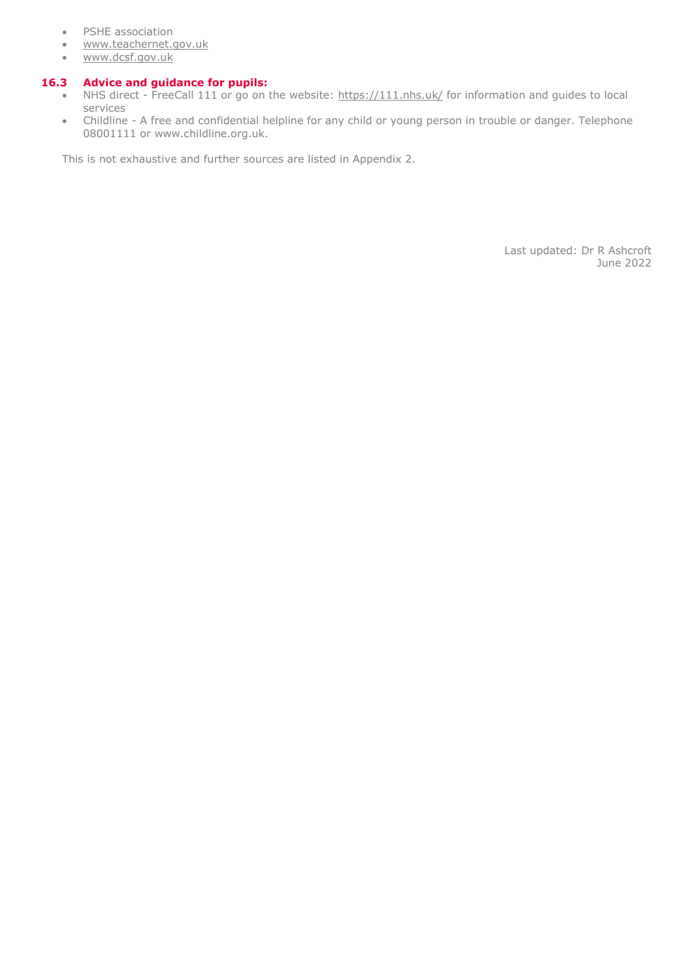- PSHE association
- [www.teachernet.gov.uk](http://www.teachernet.gov.uk/)
- [www.dcsf.gov.uk](http://www.dcsf.gov.uk/)

### **16.3 Advice and guidance for pupils:**

- NHS direct FreeCall 111 or go on the website:<https://111.nhs.uk/> for information and guides to local services
- Childline A free and confidential helpline for any child or young person in trouble or danger. Telephone 08001111 or www.childline.org.uk.

This is not exhaustive and further sources are listed in Appendix 2.

Last updated: Dr R Ashcroft June 2022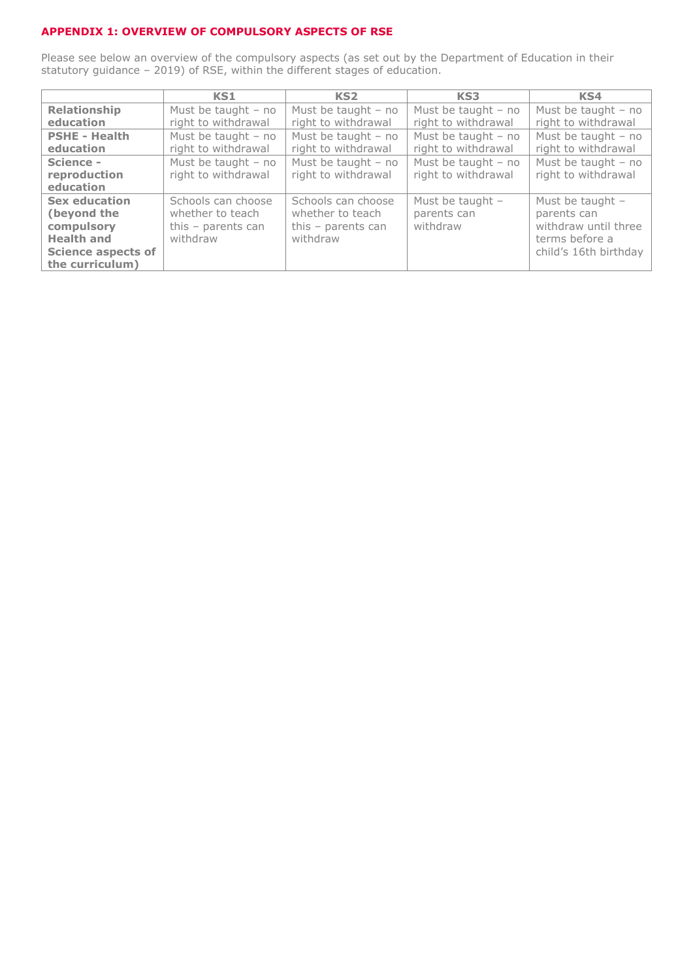## **APPENDIX 1: OVERVIEW OF COMPULSORY ASPECTS OF RSE**

Please see below an overview of the compulsory aspects (as set out by the Department of Education in their statutory guidance – 2019) of RSE, within the different stages of education.

|                           | KS1                   | KS <sub>2</sub>       | KS3                   | KS4                   |
|---------------------------|-----------------------|-----------------------|-----------------------|-----------------------|
| <b>Relationship</b>       | Must be taught $-$ no | Must be taught $-$ no | Must be taught $-$ no | Must be taught $-$ no |
| education                 | right to withdrawal   | right to withdrawal   | right to withdrawal   | right to withdrawal   |
| <b>PSHE - Health</b>      | Must be taught $-$ no | Must be taught $-$ no | Must be taught $-$ no | Must be taught $-$ no |
| education                 | right to withdrawal   | right to withdrawal   | right to withdrawal   | right to withdrawal   |
| Science -                 | Must be taught $-$ no | Must be taught $-$ no | Must be taught $-$ no | Must be taught $-$ no |
| reproduction              | right to withdrawal   | right to withdrawal   | right to withdrawal   | right to withdrawal   |
| education                 |                       |                       |                       |                       |
| <b>Sex education</b>      | Schools can choose    | Schools can choose    | Must be taught $-$    | Must be taught $-$    |
| (beyond the               | whether to teach      | whether to teach      | parents can           | parents can           |
| compulsory                | this $-$ parents can  | this $-$ parents can  | withdraw              | withdraw until three  |
| <b>Health and</b>         | withdraw              | withdraw              |                       | terms before a        |
| <b>Science aspects of</b> |                       |                       |                       | child's 16th birthday |
| the curriculum)           |                       |                       |                       |                       |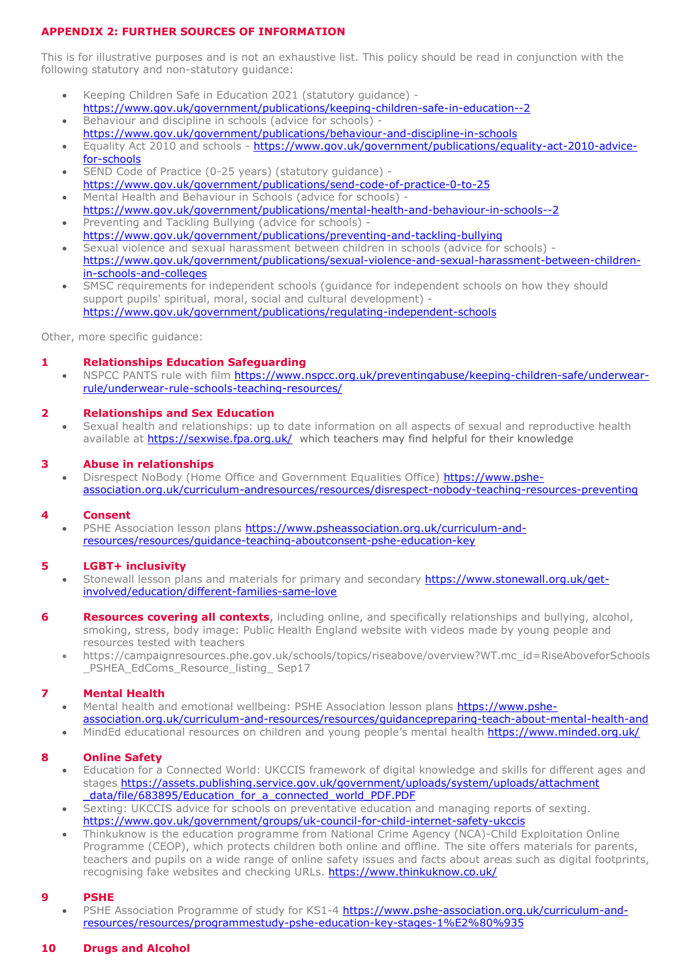## **APPENDIX 2: FURTHER SOURCES OF INFORMATION**

This is for illustrative purposes and is not an exhaustive list. This policy should be read in conjunction with the following statutory and non-statutory guidance:

- Keeping Children Safe in Education 2021 (statutory guidance) <https://www.gov.uk/government/publications/keeping-children-safe-in-education--2>
- Behaviour and discipline in schools (advice for schools) <https://www.gov.uk/government/publications/behaviour-and-discipline-in-schools>
- Equality Act 2010 and schools [https://www.gov.uk/government/publications/equality-act-2010-advice](https://www.gov.uk/government/publications/equality-act-2010-advice-for-schools)[for-schools](https://www.gov.uk/government/publications/equality-act-2010-advice-for-schools)
- SEND Code of Practice (0-25 years) (statutory guidance) <https://www.gov.uk/government/publications/send-code-of-practice-0-to-25>
- Mental Health and Behaviour in Schools (advice for schools) <https://www.gov.uk/government/publications/mental-health-and-behaviour-in-schools--2> • Preventing and Tackling Bullying (advice for schools) -
- <https://www.gov.uk/government/publications/preventing-and-tackling-bullying> Sexual violence and sexual harassment between children in schools (advice for schools) [https://www.gov.uk/government/publications/sexual-violence-and-sexual-harassment-between-children](https://www.gov.uk/government/publications/sexual-violence-and-sexual-harassment-between-children-in-schools-and-colleges)[in-schools-and-colleges](https://www.gov.uk/government/publications/sexual-violence-and-sexual-harassment-between-children-in-schools-and-colleges)
- SMSC requirements for independent schools (guidance for independent schools on how they should support pupils' spiritual, moral, social and cultural development) <https://www.gov.uk/government/publications/regulating-independent-schools>

Other, more specific guidance:

## **1 Relationships Education Safeguarding**

NSPCC PANTS rule with film [https://www.nspcc.org.uk/preventingabuse/keeping-children-safe/underwear](https://www.nspcc.org.uk/preventingabuse/keeping-children-safe/underwear-rule/underwear-rule-schools-teaching-resources/)[rule/underwear-rule-schools-teaching-resources/](https://www.nspcc.org.uk/preventingabuse/keeping-children-safe/underwear-rule/underwear-rule-schools-teaching-resources/)

### **2 Relationships and Sex Education**

 Sexual health and relationships: up to date information on all aspects of sexual and reproductive health available at<https://sexwise.fpa.org.uk/> which teachers may find helpful for their knowledge

#### **3 Abuse in relationships**

 Disrespect NoBody (Home Office and Government Equalities Office) [https://www.pshe](https://www.pshe-association.org.uk/curriculum-andresources/resources/disrespect-nobody-teaching-resources-preventing)[association.org.uk/curriculum-andresources/resources/disrespect-nobody-teaching-resources-preventing](https://www.pshe-association.org.uk/curriculum-andresources/resources/disrespect-nobody-teaching-resources-preventing)

#### **4 Consent**

PSHE Association lesson plans [https://www.psheassociation.org.uk/curriculum-and](https://www.psheassociation.org.uk/curriculum-and-resources/resources/guidance-teaching-aboutconsent-pshe-education-key)[resources/resources/guidance-teaching-aboutconsent-pshe-education-key](https://www.psheassociation.org.uk/curriculum-and-resources/resources/guidance-teaching-aboutconsent-pshe-education-key)

#### **5 LGBT+ inclusivity**

- Stonewall lesson plans and materials for primary and secondary [https://www.stonewall.org.uk/get](https://www.stonewall.org.uk/get-involved/education/different-families-same-love)[involved/education/different-families-same-love](https://www.stonewall.org.uk/get-involved/education/different-families-same-love)
- **6 Resources covering all contexts**, including online, and specifically relationships and bullying, alcohol, smoking, stress, body image: Public Health England website with videos made by young people and resources tested with teachers
	- https://campaignresources.phe.gov.uk/schools/topics/riseabove/overview?WT.mc\_id=RiseAboveforSchools \_PSHEA\_EdComs\_Resource\_listing\_ Sep17

#### **7 Mental Health**

- Mental health and emotional wellbeing: PSHE Association lesson plans [https://www.pshe](https://www.pshe-association.org.uk/curriculum-and-resources/resources/guidancepreparing-teach-about-mental-health-and)[association.org.uk/curriculum-and-resources/resources/guidancepreparing-teach-about-mental-health-and](https://www.pshe-association.org.uk/curriculum-and-resources/resources/guidancepreparing-teach-about-mental-health-and)
- MindEd educational resources on children and young people's mental health<https://www.minded.org.uk/>

## **8 Online Safety**

- Education for a Connected World: UKCCIS framework of digital knowledge and skills for different ages and stages https://assets.publishing.service.gov.uk/government/uploads/system/uploads/attachment data/file/683895/Education for a connected world PDF.PDF
- Sexting: UKCCIS advice for schools on preventative education and managing reports of sexting. <https://www.gov.uk/government/groups/uk-council-for-child-internet-safety-ukccis>
- Thinkuknow is the education programme from National Crime Agency (NCA)-Child Exploitation Online Programme (CEOP), which protects children both online and offline. The site offers materials for parents, teachers and pupils on a wide range of online safety issues and facts about areas such as digital footprints, recognising fake websites and checking URLs.<https://www.thinkuknow.co.uk/>

#### **9 PSHE**

PSHE Association Programme of study for KS1-4 [https://www.pshe-association.org.uk/curriculum-and](https://www.pshe-association.org.uk/curriculum-and-resources/resources/programmestudy-pshe-education-key-stages-1%E2%80%935)[resources/resources/programmestudy-pshe-education-key-stages-1%E2%80%935](https://www.pshe-association.org.uk/curriculum-and-resources/resources/programmestudy-pshe-education-key-stages-1%E2%80%935)

#### **10 Drugs and Alcohol**